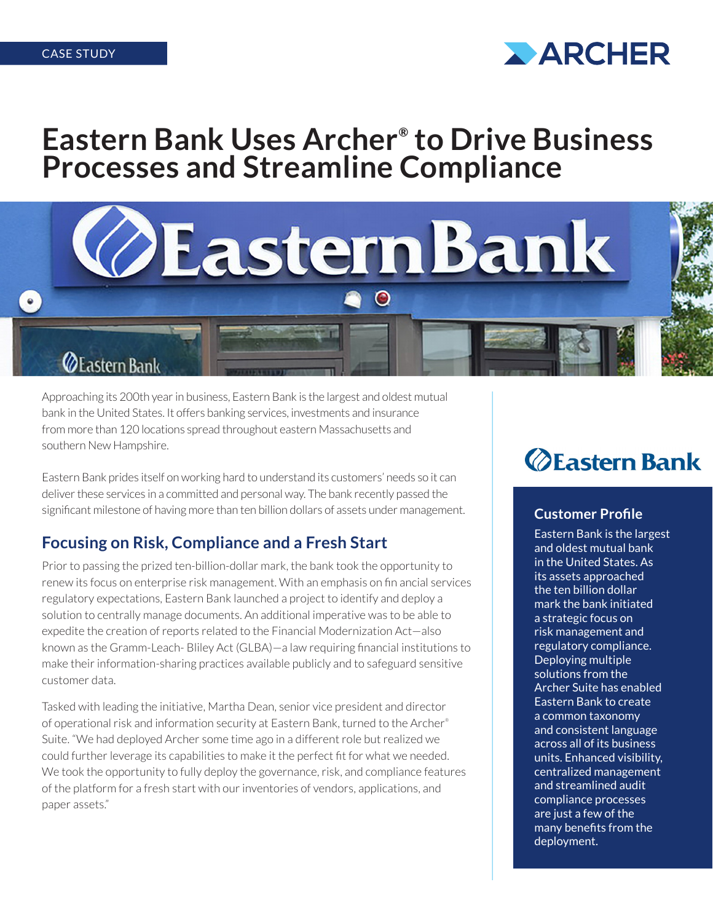

# **Eastern Bank Uses Archer® to Drive Business Processes and Streamline Compliance**



### **ZE** astern Bank

 $\bullet$ 

Approaching its 200th year in business, Eastern Bank is the largest and oldest mutual bank in the United States. It offers banking services, investments and insurance from more than 120 locations spread throughout eastern Massachusetts and southern New Hampshire.

Eastern Bank prides itself on working hard to understand its customers' needs so it can deliver these services in a committed and personal way. The bank recently passed the significant milestone of having more than ten billion dollars of assets under management.

#### **Focusing on Risk, Compliance and a Fresh Start**

Prior to passing the prized ten-billion-dollar mark, the bank took the opportunity to renew its focus on enterprise risk management. With an emphasis on fin ancial services regulatory expectations, Eastern Bank launched a project to identify and deploy a solution to centrally manage documents. An additional imperative was to be able to expedite the creation of reports related to the Financial Modernization Act—also known as the Gramm-Leach- Bliley Act (GLBA)—a law requiring financial institutions to make their information-sharing practices available publicly and to safeguard sensitive customer data.

Tasked with leading the initiative, Martha Dean, senior vice president and director of operational risk and information security at Eastern Bank, turned to the Archer® Suite. "We had deployed Archer some time ago in a different role but realized we could further leverage its capabilities to make it the perfect fit for what we needed. We took the opportunity to fully deploy the governance, risk, and compliance features of the platform for a fresh start with our inventories of vendors, applications, and paper assets."

## *<u>OEastern Bank</u>*

#### **Customer Profile**

Eastern Bank is the largest and oldest mutual bank in the United States. As its assets approached the ten billion dollar mark the bank initiated a strategic focus on risk management and regulatory compliance. Deploying multiple solutions from the Archer Suite has enabled Eastern Bank to create a common taxonomy and consistent language across all of its business units. Enhanced visibility, centralized management and streamlined audit compliance processes are just a few of the many benefits from the deployment.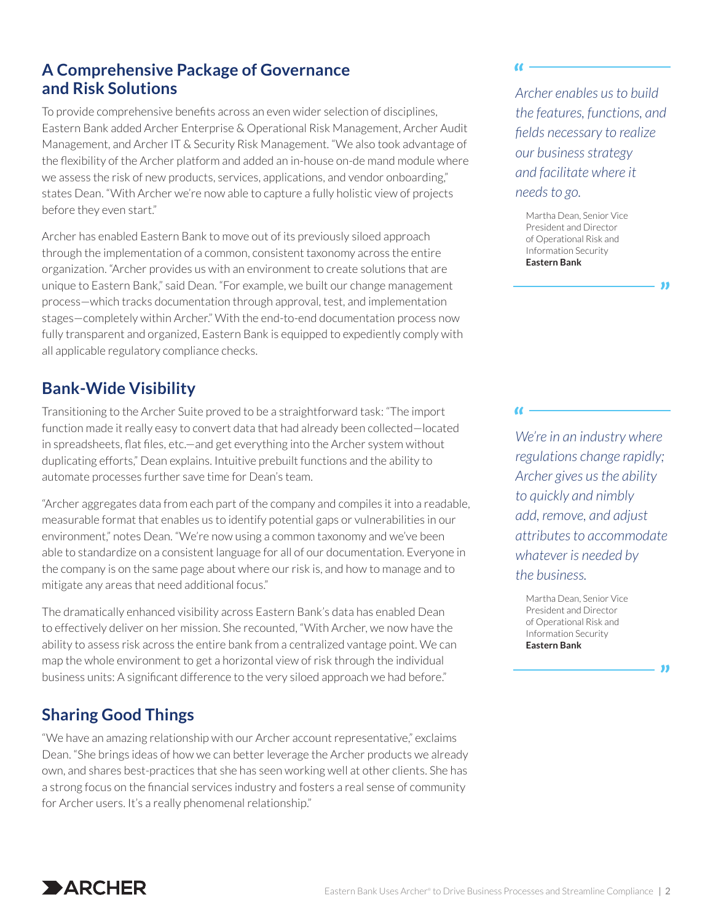#### **A Comprehensive Package of Governance and Risk Solutions**

To provide comprehensive benefits across an even wider selection of disciplines, Eastern Bank added Archer Enterprise & Operational Risk Management, Archer Audit Management, and Archer IT & Security Risk Management. "We also took advantage of the flexibility of the Archer platform and added an in-house on-de mand module where we assess the risk of new products, services, applications, and vendor onboarding," states Dean. "With Archer we're now able to capture a fully holistic view of projects before they even start."

Archer has enabled Eastern Bank to move out of its previously siloed approach through the implementation of a common, consistent taxonomy across the entire organization. "Archer provides us with an environment to create solutions that are unique to Eastern Bank," said Dean. "For example, we built our change management process—which tracks documentation through approval, test, and implementation stages—completely within Archer." With the end-to-end documentation process now fully transparent and organized, Eastern Bank is equipped to expediently comply with all applicable regulatory compliance checks.

#### **Bank-Wide Visibility**

Transitioning to the Archer Suite proved to be a straightforward task: "The import function made it really easy to convert data that had already been collected—located in spreadsheets, flat files, etc.—and get everything into the Archer system without duplicating efforts," Dean explains. Intuitive prebuilt functions and the ability to automate processes further save time for Dean's team.

"Archer aggregates data from each part of the company and compiles it into a readable, measurable format that enables us to identify potential gaps or vulnerabilities in our environment," notes Dean. "We're now using a common taxonomy and we've been able to standardize on a consistent language for all of our documentation. Everyone in the company is on the same page about where our risk is, and how to manage and to mitigate any areas that need additional focus."

The dramatically enhanced visibility across Eastern Bank's data has enabled Dean to effectively deliver on her mission. She recounted, "With Archer, we now have the ability to assess risk across the entire bank from a centralized vantage point. We can map the whole environment to get a horizontal view of risk through the individual business units: A significant difference to the very siloed approach we had before."

### **Sharing Good Things**

"We have an amazing relationship with our Archer account representative," exclaims Dean. "She brings ideas of how we can better leverage the Archer products we already own, and shares best-practices that she has seen working well at other clients. She has a strong focus on the financial services industry and fosters a real sense of community for Archer users. It's a really phenomenal relationship."

*Archer enables us to build the features, functions, and fields necessary to realize our business strategy and facilitate where it needs to go.*

**"**

**"**

Martha Dean, Senior Vice President and Director of Operational Risk and Information Security **Eastern Bank**

*We're in an industry where regulations change rapidly; Archer gives us the ability to quickly and nimbly add, remove, and adjust attributes to accommodate whatever is needed by the business.*

Martha Dean, Senior Vice President and Director of Operational Risk and Information Security **Eastern Bank**

**"**

**"**